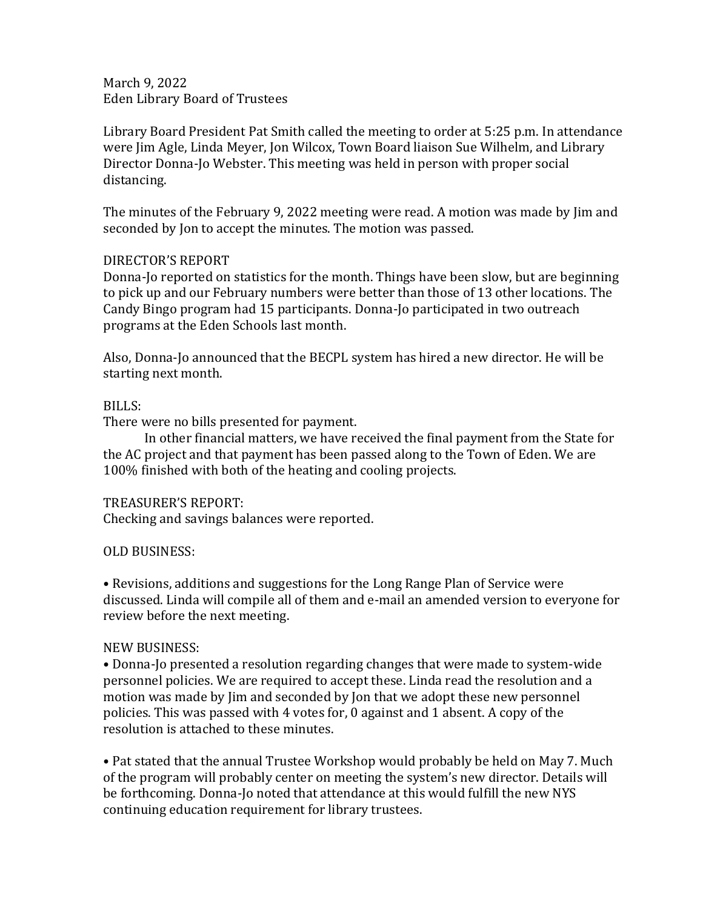March 9, 2022 Eden Library Board of Trustees

Library Board President Pat Smith called the meeting to order at 5:25 p.m. In attendance were Jim Agle, Linda Meyer, Jon Wilcox, Town Board liaison Sue Wilhelm, and Library Director Donna-Jo Webster. This meeting was held in person with proper social distancing.

The minutes of the February 9, 2022 meeting were read. A motion was made by Jim and seconded by Jon to accept the minutes. The motion was passed.

## DIRECTOR'S REPORT

Donna-Jo reported on statistics for the month. Things have been slow, but are beginning to pick up and our February numbers were better than those of 13 other locations. The Candy Bingo program had 15 participants. Donna-Jo participated in two outreach programs at the Eden Schools last month.

Also, Donna-Jo announced that the BECPL system has hired a new director. He will be starting next month.

## BILLS:

There were no bills presented for payment.

In other financial matters, we have received the final payment from the State for the AC project and that payment has been passed along to the Town of Eden. We are 100% finished with both of the heating and cooling projects.

### TREASURER'S REPORT:

Checking and savings balances were reported.

# OLD BUSINESS:

• Revisions, additions and suggestions for the Long Range Plan of Service were discussed. Linda will compile all of them and e-mail an amended version to everyone for review before the next meeting.

# NEW BUSINESS:

• Donna-Jo presented a resolution regarding changes that were made to system-wide personnel policies. We are required to accept these. Linda read the resolution and a motion was made by Jim and seconded by Jon that we adopt these new personnel policies. This was passed with 4 votes for, 0 against and 1 absent. A copy of the resolution is attached to these minutes.

• Pat stated that the annual Trustee Workshop would probably be held on May 7. Much of the program will probably center on meeting the system's new director. Details will be forthcoming. Donna-Jo noted that attendance at this would fulfill the new NYS continuing education requirement for library trustees.